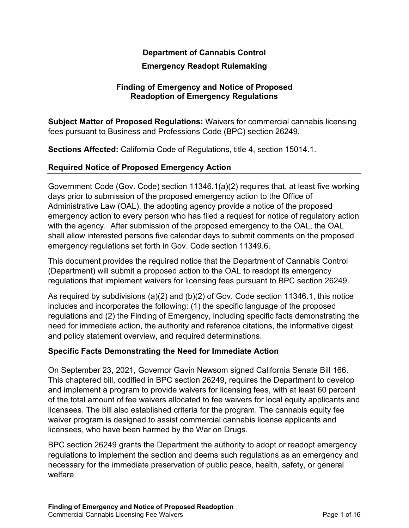## **Department of Cannabis Control**

#### **Emergency Readopt Rulemaking**

#### **Finding of Emergency and Notice of Proposed Readoption of Emergency Regulations**

**Subject Matter of Proposed Regulations:** Waivers for commercial cannabis licensing fees pursuant to Business and Professions Code (BPC) section 26249.

**Sections Affected:** California Code of Regulations, title 4, section 15014.1.

#### **Required Notice of Proposed Emergency Action**

Government Code (Gov. Code) section 11346.1(a)(2) requires that, at least five working days prior to submission of the proposed emergency action to the Office of Administrative Law (OAL), the adopting agency provide a notice of the proposed emergency action to every person who has filed a request for notice of regulatory action with the agency. After submission of the proposed emergency to the OAL, the OAL shall allow interested persons five calendar days to submit comments on the proposed emergency regulations set forth in Gov. Code section 11349.6.

This document provides the required notice that the Department of Cannabis Control (Department) will submit a proposed action to the OAL to readopt its emergency regulations that implement waivers for licensing fees pursuant to BPC section 26249.

As required by subdivisions (a)(2) and (b)(2) of Gov. Code section 11346.1, this notice includes and incorporates the following: (1) the specific language of the proposed regulations and (2) the Finding of Emergency, including specific facts demonstrating the need for immediate action, the authority and reference citations, the informative digest and policy statement overview, and required determinations.

#### **Specific Facts Demonstrating the Need for Immediate Action**

On September 23, 2021, Governor Gavin Newsom signed California Senate Bill 166. This chaptered bill, codified in BPC section 26249, requires the Department to develop and implement a program to provide waivers for licensing fees, with at least 60 percent of the total amount of fee waivers allocated to fee waivers for local equity applicants and licensees. The bill also established criteria for the program. The cannabis equity fee waiver program is designed to assist commercial cannabis license applicants and licensees, who have been harmed by the War on Drugs.

BPC section 26249 grants the Department the authority to adopt or readopt emergency regulations to implement the section and deems such regulations as an emergency and necessary for the immediate preservation of public peace, health, safety, or general welfare.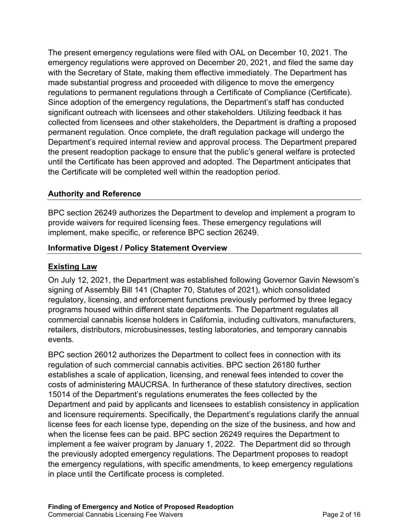The present emergency regulations were filed with OAL on December 10, 2021. The emergency regulations were approved on December 20, 2021, and filed the same day with the Secretary of State, making them effective immediately. The Department has made substantial progress and proceeded with diligence to move the emergency regulations to permanent regulations through a Certificate of Compliance (Certificate). Since adoption of the emergency regulations, the Department's staff has conducted significant outreach with licensees and other stakeholders. Utilizing feedback it has collected from licensees and other stakeholders, the Department is drafting a proposed permanent regulation. Once complete, the draft regulation package will undergo the Department's required internal review and approval process. The Department prepared the present readoption package to ensure that the public's general welfare is protected until the Certificate has been approved and adopted. The Department anticipates that the Certificate will be completed well within the readoption period.

#### **Authority and Reference**

BPC section 26249 authorizes the Department to develop and implement a program to provide waivers for required licensing fees. These emergency regulations will implement, make specific, or reference BPC section 26249.

#### **Informative Digest / Policy Statement Overview**

### **Existing Law**

On July 12, 2021, the Department was established following Governor Gavin Newsom's signing of Assembly Bill 141 (Chapter 70, Statutes of 2021), which consolidated regulatory, licensing, and enforcement functions previously performed by three legacy programs housed within different state departments. The Department regulates all commercial cannabis license holders in California, including cultivators, manufacturers, retailers, distributors, microbusinesses, testing laboratories, and temporary cannabis events.

BPC section 26012 authorizes the Department to collect fees in connection with its regulation of such commercial cannabis activities. BPC section 26180 further establishes a scale of application, licensing, and renewal fees intended to cover the costs of administering MAUCRSA. In furtherance of these statutory directives, section 15014 of the Department's regulations enumerates the fees collected by the Department and paid by applicants and licensees to establish consistency in application and licensure requirements. Specifically, the Department's regulations clarify the annual license fees for each license type, depending on the size of the business, and how and when the license fees can be paid. BPC section 26249 requires the Department to implement a fee waiver program by January 1, 2022. The Department did so through the previously adopted emergency regulations. The Department proposes to readopt the emergency regulations, with specific amendments, to keep emergency regulations in place until the Certificate process is completed.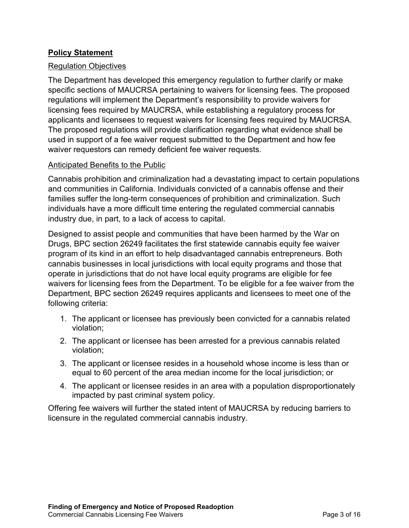## **Policy Statement**

#### Regulation Objectives

The Department has developed this emergency regulation to further clarify or make specific sections of MAUCRSA pertaining to waivers for licensing fees. The proposed regulations will implement the Department's responsibility to provide waivers for licensing fees required by MAUCRSA, while establishing a regulatory process for applicants and licensees to request waivers for licensing fees required by MAUCRSA. The proposed regulations will provide clarification regarding what evidence shall be used in support of a fee waiver request submitted to the Department and how fee waiver requestors can remedy deficient fee waiver requests.

#### Anticipated Benefits to the Public

Cannabis prohibition and criminalization had a devastating impact to certain populations and communities in California. Individuals convicted of a cannabis offense and their families suffer the long-term consequences of prohibition and criminalization. Such individuals have a more difficult time entering the regulated commercial cannabis industry due, in part, to a lack of access to capital.

Designed to assist people and communities that have been harmed by the War on Drugs, BPC section 26249 facilitates the first statewide cannabis equity fee waiver program of its kind in an effort to help disadvantaged cannabis entrepreneurs. Both cannabis businesses in local jurisdictions with local equity programs and those that operate in jurisdictions that do not have local equity programs are eligible for fee waivers for licensing fees from the Department. To be eligible for a fee waiver from the Department, BPC section 26249 requires applicants and licensees to meet one of the following criteria:

- 1. The applicant or licensee has previously been convicted for a cannabis related violation;
- 2. The applicant or licensee has been arrested for a previous cannabis related violation;
- 3. The applicant or licensee resides in a household whose income is less than or equal to 60 percent of the area median income for the local jurisdiction; or
- 4. The applicant or licensee resides in an area with a population disproportionately impacted by past criminal system policy.

Offering fee waivers will further the stated intent of MAUCRSA by reducing barriers to licensure in the regulated commercial cannabis industry.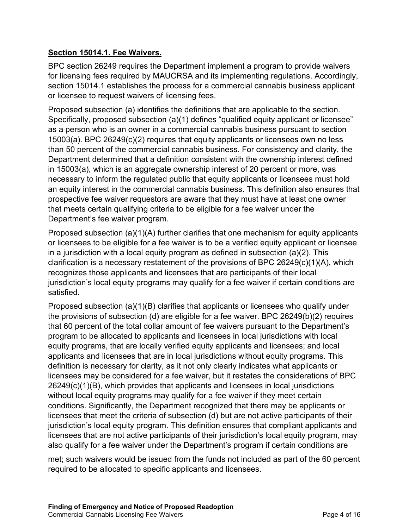# **Section 15014.1. Fee Waivers.**

BPC section 26249 requires the Department implement a program to provide waivers for licensing fees required by MAUCRSA and its implementing regulations. Accordingly, section 15014.1 establishes the process for a commercial cannabis business applicant or licensee to request waivers of licensing fees.

Proposed subsection (a) identifies the definitions that are applicable to the section. Specifically, proposed subsection (a)(1) defines "qualified equity applicant or licensee" as a person who is an owner in a commercial cannabis business pursuant to section 15003(a). BPC 26249(c)(2) requires that equity applicants or licensees own no less than 50 percent of the commercial cannabis business. For consistency and clarity, the Department determined that a definition consistent with the ownership interest defined in 15003(a), which is an aggregate ownership interest of 20 percent or more, was necessary to inform the regulated public that equity applicants or licensees must hold an equity interest in the commercial cannabis business. This definition also ensures that prospective fee waiver requestors are aware that they must have at least one owner that meets certain qualifying criteria to be eligible for a fee waiver under the Department's fee waiver program.

Proposed subsection (a)(1)(A) further clarifies that one mechanism for equity applicants or licensees to be eligible for a fee waiver is to be a verified equity applicant or licensee in a jurisdiction with a local equity program as defined in subsection (a)(2). This clarification is a necessary restatement of the provisions of BPC  $26249(c)(1)(A)$ , which recognizes those applicants and licensees that are participants of their local jurisdiction's local equity programs may qualify for a fee waiver if certain conditions are satisfied.

Proposed subsection (a)(1)(B) clarifies that applicants or licensees who qualify under the provisions of subsection (d) are eligible for a fee waiver. BPC 26249(b)(2) requires that 60 percent of the total dollar amount of fee waivers pursuant to the Department's program to be allocated to applicants and licensees in local jurisdictions with local equity programs, that are locally verified equity applicants and licensees; and local applicants and licensees that are in local jurisdictions without equity programs. This definition is necessary for clarity, as it not only clearly indicates what applicants or licensees may be considered for a fee waiver, but it restates the considerations of BPC 26249(c)(1)(B), which provides that applicants and licensees in local jurisdictions without local equity programs may qualify for a fee waiver if they meet certain conditions. Significantly, the Department recognized that there may be applicants or licensees that meet the criteria of subsection (d) but are not active participants of their jurisdiction's local equity program. This definition ensures that compliant applicants and licensees that are not active participants of their jurisdiction's local equity program, may also qualify for a fee waiver under the Department's program if certain conditions are

met; such waivers would be issued from the funds not included as part of the 60 percent required to be allocated to specific applicants and licensees.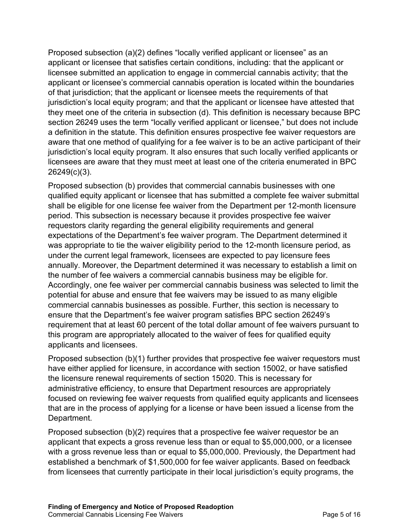Proposed subsection (a)(2) defines "locally verified applicant or licensee" as an applicant or licensee that satisfies certain conditions, including: that the applicant or licensee submitted an application to engage in commercial cannabis activity; that the applicant or licensee's commercial cannabis operation is located within the boundaries of that jurisdiction; that the applicant or licensee meets the requirements of that jurisdiction's local equity program; and that the applicant or licensee have attested that they meet one of the criteria in subsection (d). This definition is necessary because BPC section 26249 uses the term "locally verified applicant or licensee," but does not include a definition in the statute. This definition ensures prospective fee waiver requestors are aware that one method of qualifying for a fee waiver is to be an active participant of their jurisdiction's local equity program. It also ensures that such locally verified applicants or licensees are aware that they must meet at least one of the criteria enumerated in BPC 26249(c)(3).

Proposed subsection (b) provides that commercial cannabis businesses with one qualified equity applicant or licensee that has submitted a complete fee waiver submittal shall be eligible for one license fee waiver from the Department per 12-month licensure period. This subsection is necessary because it provides prospective fee waiver requestors clarity regarding the general eligibility requirements and general expectations of the Department's fee waiver program. The Department determined it was appropriate to tie the waiver eligibility period to the 12-month licensure period, as under the current legal framework, licensees are expected to pay licensure fees annually. Moreover, the Department determined it was necessary to establish a limit on the number of fee waivers a commercial cannabis business may be eligible for. Accordingly, one fee waiver per commercial cannabis business was selected to limit the potential for abuse and ensure that fee waivers may be issued to as many eligible commercial cannabis businesses as possible. Further, this section is necessary to ensure that the Department's fee waiver program satisfies BPC section 26249's requirement that at least 60 percent of the total dollar amount of fee waivers pursuant to this program are appropriately allocated to the waiver of fees for qualified equity applicants and licensees.

Proposed subsection (b)(1) further provides that prospective fee waiver requestors must have either applied for licensure, in accordance with section 15002, or have satisfied the licensure renewal requirements of section 15020. This is necessary for administrative efficiency, to ensure that Department resources are appropriately focused on reviewing fee waiver requests from qualified equity applicants and licensees that are in the process of applying for a license or have been issued a license from the Department.

Proposed subsection (b)(2) requires that a prospective fee waiver requestor be an applicant that expects a gross revenue less than or equal to \$5,000,000, or a licensee with a gross revenue less than or equal to \$5,000,000. Previously, the Department had established a benchmark of \$1,500,000 for fee waiver applicants. Based on feedback from licensees that currently participate in their local jurisdiction's equity programs, the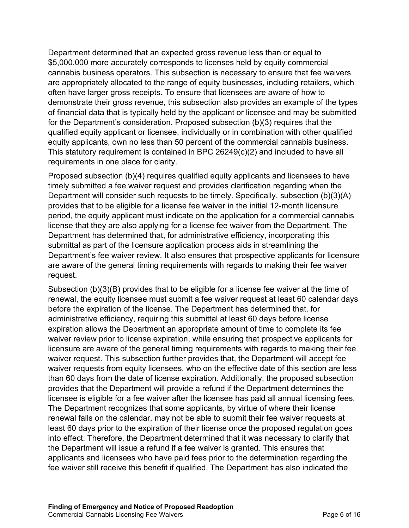Department determined that an expected gross revenue less than or equal to \$5,000,000 more accurately corresponds to licenses held by equity commercial cannabis business operators. This subsection is necessary to ensure that fee waivers are appropriately allocated to the range of equity businesses, including retailers, which often have larger gross receipts. To ensure that licensees are aware of how to demonstrate their gross revenue, this subsection also provides an example of the types of financial data that is typically held by the applicant or licensee and may be submitted for the Department's consideration. Proposed subsection (b)(3) requires that the qualified equity applicant or licensee, individually or in combination with other qualified equity applicants, own no less than 50 percent of the commercial cannabis business. This statutory requirement is contained in BPC 26249(c)(2) and included to have all requirements in one place for clarity.

Proposed subsection (b)(4) requires qualified equity applicants and licensees to have timely submitted a fee waiver request and provides clarification regarding when the Department will consider such requests to be timely. Specifically, subsection (b)(3)(A) provides that to be eligible for a license fee waiver in the initial 12-month licensure period, the equity applicant must indicate on the application for a commercial cannabis license that they are also applying for a license fee waiver from the Department. The Department has determined that, for administrative efficiency, incorporating this submittal as part of the licensure application process aids in streamlining the Department's fee waiver review. It also ensures that prospective applicants for licensure are aware of the general timing requirements with regards to making their fee waiver request.

Subsection (b)(3)(B) provides that to be eligible for a license fee waiver at the time of renewal, the equity licensee must submit a fee waiver request at least 60 calendar days before the expiration of the license. The Department has determined that, for administrative efficiency, requiring this submittal at least 60 days before license expiration allows the Department an appropriate amount of time to complete its fee waiver review prior to license expiration, while ensuring that prospective applicants for licensure are aware of the general timing requirements with regards to making their fee waiver request. This subsection further provides that, the Department will accept fee waiver requests from equity licensees, who on the effective date of this section are less than 60 days from the date of license expiration. Additionally, the proposed subsection provides that the Department will provide a refund if the Department determines the licensee is eligible for a fee waiver after the licensee has paid all annual licensing fees. The Department recognizes that some applicants, by virtue of where their license renewal falls on the calendar, may not be able to submit their fee waiver requests at least 60 days prior to the expiration of their license once the proposed regulation goes into effect. Therefore, the Department determined that it was necessary to clarify that the Department will issue a refund if a fee waiver is granted. This ensures that applicants and licensees who have paid fees prior to the determination regarding the fee waiver still receive this benefit if qualified. The Department has also indicated the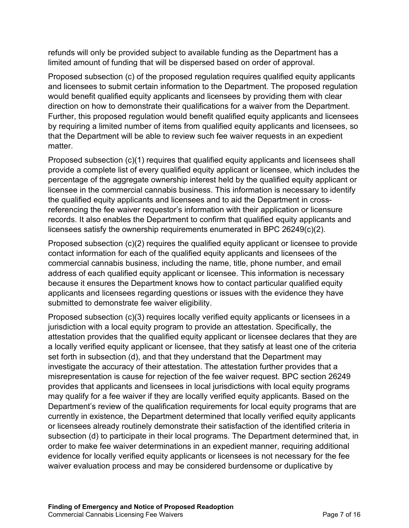refunds will only be provided subject to available funding as the Department has a limited amount of funding that will be dispersed based on order of approval.

Proposed subsection (c) of the proposed regulation requires qualified equity applicants and licensees to submit certain information to the Department. The proposed regulation would benefit qualified equity applicants and licensees by providing them with clear direction on how to demonstrate their qualifications for a waiver from the Department. Further, this proposed regulation would benefit qualified equity applicants and licensees by requiring a limited number of items from qualified equity applicants and licensees, so that the Department will be able to review such fee waiver requests in an expedient matter.

Proposed subsection (c)(1) requires that qualified equity applicants and licensees shall provide a complete list of every qualified equity applicant or licensee, which includes the percentage of the aggregate ownership interest held by the qualified equity applicant or licensee in the commercial cannabis business. This information is necessary to identify the qualified equity applicants and licensees and to aid the Department in crossreferencing the fee waiver requestor's information with their application or licensure records. It also enables the Department to confirm that qualified equity applicants and licensees satisfy the ownership requirements enumerated in BPC 26249(c)(2).

Proposed subsection (c)(2) requires the qualified equity applicant or licensee to provide contact information for each of the qualified equity applicants and licensees of the commercial cannabis business, including the name, title, phone number, and email address of each qualified equity applicant or licensee. This information is necessary because it ensures the Department knows how to contact particular qualified equity applicants and licensees regarding questions or issues with the evidence they have submitted to demonstrate fee waiver eligibility.

Proposed subsection (c)(3) requires locally verified equity applicants or licensees in a jurisdiction with a local equity program to provide an attestation. Specifically, the attestation provides that the qualified equity applicant or licensee declares that they are a locally verified equity applicant or licensee, that they satisfy at least one of the criteria set forth in subsection (d), and that they understand that the Department may investigate the accuracy of their attestation. The attestation further provides that a misrepresentation is cause for rejection of the fee waiver request. BPC section 26249 provides that applicants and licensees in local jurisdictions with local equity programs may qualify for a fee waiver if they are locally verified equity applicants. Based on the Department's review of the qualification requirements for local equity programs that are currently in existence, the Department determined that locally verified equity applicants or licensees already routinely demonstrate their satisfaction of the identified criteria in subsection (d) to participate in their local programs. The Department determined that, in order to make fee waiver determinations in an expedient manner, requiring additional evidence for locally verified equity applicants or licensees is not necessary for the fee waiver evaluation process and may be considered burdensome or duplicative by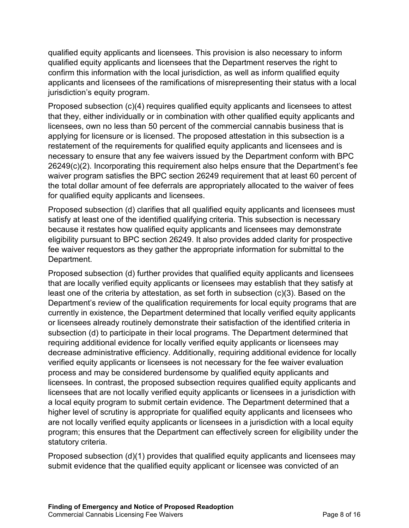qualified equity applicants and licensees. This provision is also necessary to inform qualified equity applicants and licensees that the Department reserves the right to confirm this information with the local jurisdiction, as well as inform qualified equity applicants and licensees of the ramifications of misrepresenting their status with a local jurisdiction's equity program.

Proposed subsection (c)(4) requires qualified equity applicants and licensees to attest that they, either individually or in combination with other qualified equity applicants and licensees, own no less than 50 percent of the commercial cannabis business that is applying for licensure or is licensed. The proposed attestation in this subsection is a restatement of the requirements for qualified equity applicants and licensees and is necessary to ensure that any fee waivers issued by the Department conform with BPC 26249(c)(2). Incorporating this requirement also helps ensure that the Department's fee waiver program satisfies the BPC section 26249 requirement that at least 60 percent of the total dollar amount of fee deferrals are appropriately allocated to the waiver of fees for qualified equity applicants and licensees.

Proposed subsection (d) clarifies that all qualified equity applicants and licensees must satisfy at least one of the identified qualifying criteria. This subsection is necessary because it restates how qualified equity applicants and licensees may demonstrate eligibility pursuant to BPC section 26249. It also provides added clarity for prospective fee waiver requestors as they gather the appropriate information for submittal to the Department.

Proposed subsection (d) further provides that qualified equity applicants and licensees that are locally verified equity applicants or licensees may establish that they satisfy at least one of the criteria by attestation, as set forth in subsection (c)(3). Based on the Department's review of the qualification requirements for local equity programs that are currently in existence, the Department determined that locally verified equity applicants or licensees already routinely demonstrate their satisfaction of the identified criteria in subsection (d) to participate in their local programs. The Department determined that requiring additional evidence for locally verified equity applicants or licensees may decrease administrative efficiency. Additionally, requiring additional evidence for locally verified equity applicants or licensees is not necessary for the fee waiver evaluation process and may be considered burdensome by qualified equity applicants and licensees. In contrast, the proposed subsection requires qualified equity applicants and licensees that are not locally verified equity applicants or licensees in a jurisdiction with a local equity program to submit certain evidence. The Department determined that a higher level of scrutiny is appropriate for qualified equity applicants and licensees who are not locally verified equity applicants or licensees in a jurisdiction with a local equity program; this ensures that the Department can effectively screen for eligibility under the statutory criteria.

Proposed subsection (d)(1) provides that qualified equity applicants and licensees may submit evidence that the qualified equity applicant or licensee was convicted of an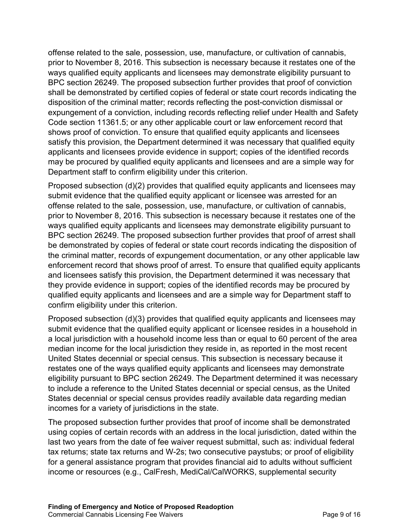offense related to the sale, possession, use, manufacture, or cultivation of cannabis, prior to November 8, 2016. This subsection is necessary because it restates one of the ways qualified equity applicants and licensees may demonstrate eligibility pursuant to BPC section 26249. The proposed subsection further provides that proof of conviction shall be demonstrated by certified copies of federal or state court records indicating the disposition of the criminal matter; records reflecting the post-conviction dismissal or expungement of a conviction, including records reflecting relief under Health and Safety Code section 11361.5; or any other applicable court or law enforcement record that shows proof of conviction. To ensure that qualified equity applicants and licensees satisfy this provision, the Department determined it was necessary that qualified equity applicants and licensees provide evidence in support; copies of the identified records may be procured by qualified equity applicants and licensees and are a simple way for Department staff to confirm eligibility under this criterion.

Proposed subsection (d)(2) provides that qualified equity applicants and licensees may submit evidence that the qualified equity applicant or licensee was arrested for an offense related to the sale, possession, use, manufacture, or cultivation of cannabis, prior to November 8, 2016. This subsection is necessary because it restates one of the ways qualified equity applicants and licensees may demonstrate eligibility pursuant to BPC section 26249. The proposed subsection further provides that proof of arrest shall be demonstrated by copies of federal or state court records indicating the disposition of the criminal matter, records of expungement documentation, or any other applicable law enforcement record that shows proof of arrest. To ensure that qualified equity applicants and licensees satisfy this provision, the Department determined it was necessary that they provide evidence in support; copies of the identified records may be procured by qualified equity applicants and licensees and are a simple way for Department staff to confirm eligibility under this criterion.

Proposed subsection (d)(3) provides that qualified equity applicants and licensees may submit evidence that the qualified equity applicant or licensee resides in a household in a local jurisdiction with a household income less than or equal to 60 percent of the area median income for the local jurisdiction they reside in, as reported in the most recent United States decennial or special census. This subsection is necessary because it restates one of the ways qualified equity applicants and licensees may demonstrate eligibility pursuant to BPC section 26249. The Department determined it was necessary to include a reference to the United States decennial or special census, as the United States decennial or special census provides readily available data regarding median incomes for a variety of jurisdictions in the state.

The proposed subsection further provides that proof of income shall be demonstrated using copies of certain records with an address in the local jurisdiction, dated within the last two years from the date of fee waiver request submittal, such as: individual federal tax returns; state tax returns and W-2s; two consecutive paystubs; or proof of eligibility for a general assistance program that provides financial aid to adults without sufficient income or resources (e.g., CalFresh, MediCal/CalWORKS, supplemental security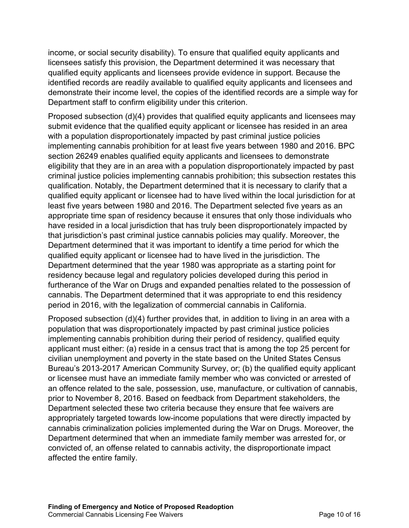income, or social security disability). To ensure that qualified equity applicants and licensees satisfy this provision, the Department determined it was necessary that qualified equity applicants and licensees provide evidence in support. Because the identified records are readily available to qualified equity applicants and licensees and demonstrate their income level, the copies of the identified records are a simple way for Department staff to confirm eligibility under this criterion.

Proposed subsection (d)(4) provides that qualified equity applicants and licensees may submit evidence that the qualified equity applicant or licensee has resided in an area with a population disproportionately impacted by past criminal justice policies implementing cannabis prohibition for at least five years between 1980 and 2016. BPC section 26249 enables qualified equity applicants and licensees to demonstrate eligibility that they are in an area with a population disproportionately impacted by past criminal justice policies implementing cannabis prohibition; this subsection restates this qualification. Notably, the Department determined that it is necessary to clarify that a qualified equity applicant or licensee had to have lived within the local jurisdiction for at least five years between 1980 and 2016. The Department selected five years as an appropriate time span of residency because it ensures that only those individuals who have resided in a local jurisdiction that has truly been disproportionately impacted by that jurisdiction's past criminal justice cannabis policies may qualify. Moreover, the Department determined that it was important to identify a time period for which the qualified equity applicant or licensee had to have lived in the jurisdiction. The Department determined that the year 1980 was appropriate as a starting point for residency because legal and regulatory policies developed during this period in furtherance of the War on Drugs and expanded penalties related to the possession of cannabis. The Department determined that it was appropriate to end this residency period in 2016, with the legalization of commercial cannabis in California.

Proposed subsection (d)(4) further provides that, in addition to living in an area with a population that was disproportionately impacted by past criminal justice policies implementing cannabis prohibition during their period of residency, qualified equity applicant must either: (a) reside in a census tract that is among the top 25 percent for civilian unemployment and poverty in the state based on the United States Census Bureau's 2013-2017 American Community Survey, or; (b) the qualified equity applicant or licensee must have an immediate family member who was convicted or arrested of an offence related to the sale, possession, use, manufacture, or cultivation of cannabis, prior to November 8, 2016. Based on feedback from Department stakeholders, the Department selected these two criteria because they ensure that fee waivers are appropriately targeted towards low-income populations that were directly impacted by cannabis criminalization policies implemented during the War on Drugs. Moreover, the Department determined that when an immediate family member was arrested for, or convicted of, an offense related to cannabis activity, the disproportionate impact affected the entire family.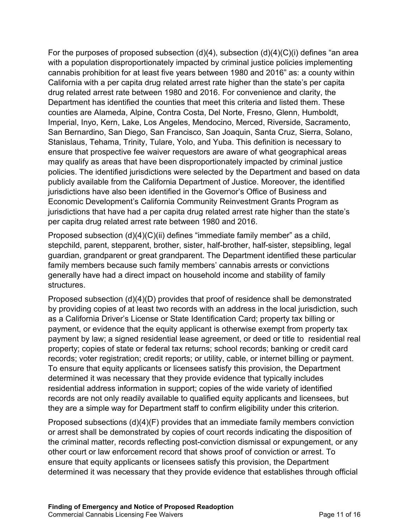For the purposes of proposed subsection  $(d)(4)$ , subsection  $(d)(4)(C)(i)$  defines "an area with a population disproportionately impacted by criminal justice policies implementing cannabis prohibition for at least five years between 1980 and 2016" as: a county within California with a per capita drug related arrest rate higher than the state's per capita drug related arrest rate between 1980 and 2016. For convenience and clarity, the Department has identified the counties that meet this criteria and listed them. These counties are Alameda, Alpine, Contra Costa, Del Norte, Fresno, Glenn, Humboldt, Imperial, Inyo, Kern, Lake, Los Angeles, Mendocino, Merced, Riverside, Sacramento, San Bernardino, San Diego, San Francisco, San Joaquin, Santa Cruz, Sierra, Solano, Stanislaus, Tehama, Trinity, Tulare, Yolo, and Yuba. This definition is necessary to ensure that prospective fee waiver requestors are aware of what geographical areas may qualify as areas that have been disproportionately impacted by criminal justice policies. The identified jurisdictions were selected by the Department and based on data publicly available from the California Department of Justice. Moreover, the identified jurisdictions have also been identified in the Governor's Office of Business and Economic Development's California Community Reinvestment Grants Program as jurisdictions that have had a per capita drug related arrest rate higher than the state's per capita drug related arrest rate between 1980 and 2016.

Proposed subsection (d)(4)(C)(ii) defines "immediate family member" as a child, stepchild, parent, stepparent, brother, sister, half-brother, half-sister, stepsibling, legal guardian, grandparent or great grandparent. The Department identified these particular family members because such family members' cannabis arrests or convictions generally have had a direct impact on household income and stability of family structures.

Proposed subsection (d)(4)(D) provides that proof of residence shall be demonstrated by providing copies of at least two records with an address in the local jurisdiction, such as a California Driver's License or State Identification Card; property tax billing or payment, or evidence that the equity applicant is otherwise exempt from property tax payment by law; a signed residential lease agreement, or deed or title to residential real property; copies of state or federal tax returns; school records; banking or credit card records; voter registration; credit reports; or utility, cable, or internet billing or payment. To ensure that equity applicants or licensees satisfy this provision, the Department determined it was necessary that they provide evidence that typically includes residential address information in support; copies of the wide variety of identified records are not only readily available to qualified equity applicants and licensees, but they are a simple way for Department staff to confirm eligibility under this criterion.

Proposed subsections (d)(4)(F) provides that an immediate family members conviction or arrest shall be demonstrated by copies of court records indicating the disposition of the criminal matter, records reflecting post-conviction dismissal or expungement, or any other court or law enforcement record that shows proof of conviction or arrest. To ensure that equity applicants or licensees satisfy this provision, the Department determined it was necessary that they provide evidence that establishes through official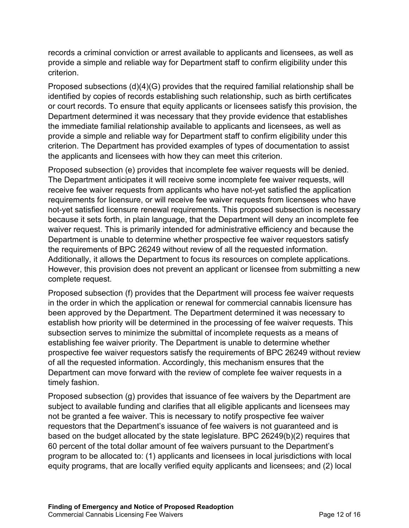records a criminal conviction or arrest available to applicants and licensees, as well as provide a simple and reliable way for Department staff to confirm eligibility under this criterion.

Proposed subsections (d)(4)(G) provides that the required familial relationship shall be identified by copies of records establishing such relationship, such as birth certificates or court records. To ensure that equity applicants or licensees satisfy this provision, the Department determined it was necessary that they provide evidence that establishes the immediate familial relationship available to applicants and licensees, as well as provide a simple and reliable way for Department staff to confirm eligibility under this criterion. The Department has provided examples of types of documentation to assist the applicants and licensees with how they can meet this criterion.

Proposed subsection (e) provides that incomplete fee waiver requests will be denied. The Department anticipates it will receive some incomplete fee waiver requests, will receive fee waiver requests from applicants who have not-yet satisfied the application requirements for licensure, or will receive fee waiver requests from licensees who have not-yet satisfied licensure renewal requirements. This proposed subsection is necessary because it sets forth, in plain language, that the Department will deny an incomplete fee waiver request. This is primarily intended for administrative efficiency and because the Department is unable to determine whether prospective fee waiver requestors satisfy the requirements of BPC 26249 without review of all the requested information. Additionally, it allows the Department to focus its resources on complete applications. However, this provision does not prevent an applicant or licensee from submitting a new complete request.

Proposed subsection (f) provides that the Department will process fee waiver requests in the order in which the application or renewal for commercial cannabis licensure has been approved by the Department. The Department determined it was necessary to establish how priority will be determined in the processing of fee waiver requests. This subsection serves to minimize the submittal of incomplete requests as a means of establishing fee waiver priority. The Department is unable to determine whether prospective fee waiver requestors satisfy the requirements of BPC 26249 without review of all the requested information. Accordingly, this mechanism ensures that the Department can move forward with the review of complete fee waiver requests in a timely fashion.

Proposed subsection (g) provides that issuance of fee waivers by the Department are subject to available funding and clarifies that all eligible applicants and licensees may not be granted a fee waiver. This is necessary to notify prospective fee waiver requestors that the Department's issuance of fee waivers is not guaranteed and is based on the budget allocated by the state legislature. BPC 26249(b)(2) requires that 60 percent of the total dollar amount of fee waivers pursuant to the Department's program to be allocated to: (1) applicants and licensees in local jurisdictions with local equity programs, that are locally verified equity applicants and licensees; and (2) local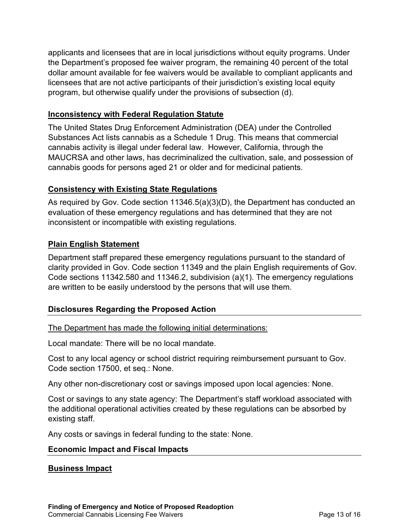applicants and licensees that are in local jurisdictions without equity programs. Under the Department's proposed fee waiver program, the remaining 40 percent of the total dollar amount available for fee waivers would be available to compliant applicants and licensees that are not active participants of their jurisdiction's existing local equity program, but otherwise qualify under the provisions of subsection (d).

#### **Inconsistency with Federal Regulation Statute**

The United States Drug Enforcement Administration (DEA) under the Controlled Substances Act lists cannabis as a Schedule 1 Drug. This means that commercial cannabis activity is illegal under federal law. However, California, through the MAUCRSA and other laws, has decriminalized the cultivation, sale, and possession of cannabis goods for persons aged 21 or older and for medicinal patients.

## **Consistency with Existing State Regulations**

As required by Gov. Code section 11346.5(a)(3)(D), the Department has conducted an evaluation of these emergency regulations and has determined that they are not inconsistent or incompatible with existing regulations.

## **Plain English Statement**

Department staff prepared these emergency regulations pursuant to the standard of clarity provided in Gov. Code section 11349 and the plain English requirements of Gov. Code sections 11342.580 and 11346.2, subdivision (a)(1). The emergency regulations are written to be easily understood by the persons that will use them.

## **Disclosures Regarding the Proposed Action**

The Department has made the following initial determinations:

Local mandate: There will be no local mandate.

Cost to any local agency or school district requiring reimbursement pursuant to Gov. Code section 17500, et seq.: None.

Any other non-discretionary cost or savings imposed upon local agencies: None.

Cost or savings to any state agency: The Department's staff workload associated with the additional operational activities created by these regulations can be absorbed by existing staff.

Any costs or savings in federal funding to the state: None.

## **Economic Impact and Fiscal Impacts**

## **Business Impact**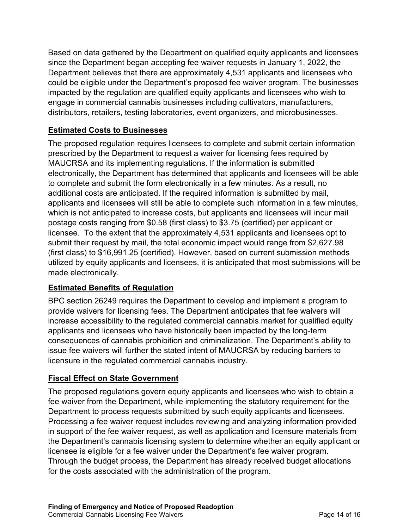Based on data gathered by the Department on qualified equity applicants and licensees since the Department began accepting fee waiver requests in January 1, 2022, the Department believes that there are approximately 4,531 applicants and licensees who could be eligible under the Department's proposed fee waiver program. The businesses impacted by the regulation are qualified equity applicants and licensees who wish to engage in commercial cannabis businesses including cultivators, manufacturers, distributors, retailers, testing laboratories, event organizers, and microbusinesses.

## **Estimated Costs to Businesses**

The proposed regulation requires licensees to complete and submit certain information prescribed by the Department to request a waiver for licensing fees required by MAUCRSA and its implementing regulations. If the information is submitted electronically, the Department has determined that applicants and licensees will be able to complete and submit the form electronically in a few minutes. As a result, no additional costs are anticipated. If the required information is submitted by mail, applicants and licensees will still be able to complete such information in a few minutes, which is not anticipated to increase costs, but applicants and licensees will incur mail postage costs ranging from \$0.58 (first class) to \$3.75 (certified) per applicant or licensee. To the extent that the approximately 4,531 applicants and licensees opt to submit their request by mail, the total economic impact would range from \$2,627.98 (first class) to \$16,991.25 (certified). However, based on current submission methods utilized by equity applicants and licensees, it is anticipated that most submissions will be made electronically.

# **Estimated Benefits of Regulation**

BPC section 26249 requires the Department to develop and implement a program to provide waivers for licensing fees. The Department anticipates that fee waivers will increase accessibility to the regulated commercial cannabis market for qualified equity applicants and licensees who have historically been impacted by the long-term consequences of cannabis prohibition and criminalization. The Department's ability to issue fee waivers will further the stated intent of MAUCRSA by reducing barriers to licensure in the regulated commercial cannabis industry.

## **Fiscal Effect on State Government**

The proposed regulations govern equity applicants and licensees who wish to obtain a fee waiver from the Department, while implementing the statutory requirement for the Department to process requests submitted by such equity applicants and licensees. Processing a fee waiver request includes reviewing and analyzing information provided in support of the fee waiver request, as well as application and licensure materials from the Department's cannabis licensing system to determine whether an equity applicant or licensee is eligible for a fee waiver under the Department's fee waiver program. Through the budget process, the Department has already received budget allocations for the costs associated with the administration of the program.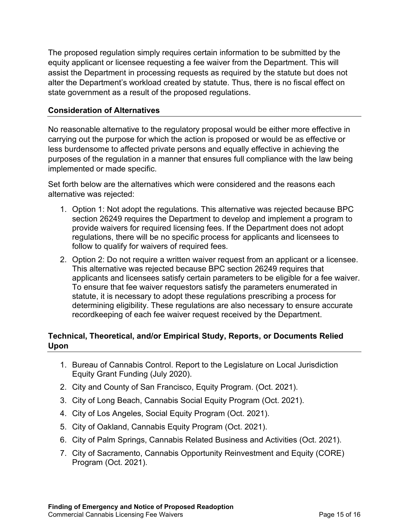The proposed regulation simply requires certain information to be submitted by the equity applicant or licensee requesting a fee waiver from the Department. This will assist the Department in processing requests as required by the statute but does not alter the Department's workload created by statute. Thus, there is no fiscal effect on state government as a result of the proposed regulations.

### **Consideration of Alternatives**

No reasonable alternative to the regulatory proposal would be either more effective in carrying out the purpose for which the action is proposed or would be as effective or less burdensome to affected private persons and equally effective in achieving the purposes of the regulation in a manner that ensures full compliance with the law being implemented or made specific.

Set forth below are the alternatives which were considered and the reasons each alternative was rejected:

- 1. Option 1: Not adopt the regulations. This alternative was rejected because BPC section 26249 requires the Department to develop and implement a program to provide waivers for required licensing fees. If the Department does not adopt regulations, there will be no specific process for applicants and licensees to follow to qualify for waivers of required fees.
- 2. Option 2: Do not require a written waiver request from an applicant or a licensee. This alternative was rejected because BPC section 26249 requires that applicants and licensees satisfy certain parameters to be eligible for a fee waiver. To ensure that fee waiver requestors satisfy the parameters enumerated in statute, it is necessary to adopt these regulations prescribing a process for determining eligibility. These regulations are also necessary to ensure accurate recordkeeping of each fee waiver request received by the Department.

## **Technical, Theoretical, and/or Empirical Study, Reports, or Documents Relied Upon**

- 1. Bureau of Cannabis Control. Report to the Legislature on Local Jurisdiction Equity Grant Funding (July 2020).
- 2. City and County of San Francisco, Equity Program. (Oct. 2021).
- 3. City of Long Beach, Cannabis Social Equity Program (Oct. 2021).
- 4. City of Los Angeles, Social Equity Program (Oct. 2021).
- 5. City of Oakland, Cannabis Equity Program (Oct. 2021).
- 6. City of Palm Springs, Cannabis Related Business and Activities (Oct. 2021).
- 7. City of Sacramento, Cannabis Opportunity Reinvestment and Equity (CORE) Program (Oct. 2021).